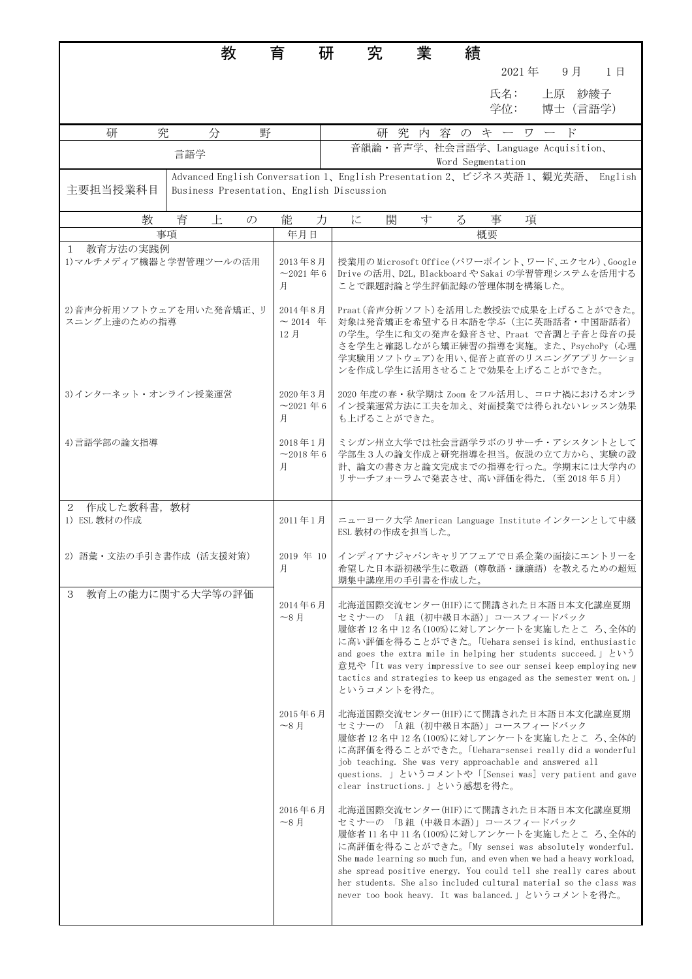|                                         | 教                                  | 育<br>研                             | 究                                                                                                                                                                                                                               | 業                                                                                                                                                                                                                                                                                                                                                                                                                                            | 績                 |            |                    |  |    |  |
|-----------------------------------------|------------------------------------|------------------------------------|---------------------------------------------------------------------------------------------------------------------------------------------------------------------------------------------------------------------------------|----------------------------------------------------------------------------------------------------------------------------------------------------------------------------------------------------------------------------------------------------------------------------------------------------------------------------------------------------------------------------------------------------------------------------------------------|-------------------|------------|--------------------|--|----|--|
|                                         |                                    |                                    |                                                                                                                                                                                                                                 |                                                                                                                                                                                                                                                                                                                                                                                                                                              |                   | 2021年      | 9月                 |  | 1日 |  |
|                                         |                                    |                                    |                                                                                                                                                                                                                                 |                                                                                                                                                                                                                                                                                                                                                                                                                                              |                   | 氏名:<br>学位: | 上原 紗綾子<br>博士 (言語学) |  |    |  |
| 研<br>究                                  | 分<br>野                             |                                    |                                                                                                                                                                                                                                 | 研究内容のキーワー                                                                                                                                                                                                                                                                                                                                                                                                                                    |                   |            | - F                |  |    |  |
|                                         | 言語学                                |                                    |                                                                                                                                                                                                                                 | 音韻論·音声学、社会言語学、Language Acquisition、                                                                                                                                                                                                                                                                                                                                                                                                          | Word Segmentation |            |                    |  |    |  |
| 主要担当授業科目                                |                                    |                                    | Advanced English Conversation 1、English Presentation 2、ビジネス英語 1、観光英語、 English<br>Business Presentation, English Discussion                                                                                                      |                                                                                                                                                                                                                                                                                                                                                                                                                                              |                   |            |                    |  |    |  |
| 教                                       | 育<br>上<br>$\mathcal{D}$            | 能<br>力                             | に                                                                                                                                                                                                                               | 関<br>寸                                                                                                                                                                                                                                                                                                                                                                                                                                       | $\zeta$           | 事<br>項     |                    |  |    |  |
|                                         | 事項                                 | 年月日                                |                                                                                                                                                                                                                                 |                                                                                                                                                                                                                                                                                                                                                                                                                                              | 概要                |            |                    |  |    |  |
| 1 教育方法の実践例<br>1) マルチメディア機器と学習管理ツールの活用   | 2013年8月<br>$~2021~\text{# }6$<br>月 |                                    | 授業用のMicrosoft Office (パワーポイント、ワード、エクセル)、Google<br>Drive の活用、D2L, Blackboard や Sakai の学習管理システムを活用する<br>ことで課題計論と学生評価記録の管理体制を構築した。                                                                                                 |                                                                                                                                                                                                                                                                                                                                                                                                                                              |                   |            |                    |  |    |  |
| 2)音声分析用ソフトウェアを用いた発音矯正、リ<br>スニング上達のための指導 | 2014年8月<br>$\sim$ 2014 年<br>12月    |                                    | Praat (音声分析ソフト)を活用した教授法で成果を上げることができた。<br>対象は発音矯正を希望する日本語を学ぶ(主に英語話者・中国語話者)<br>の学生。学生に和文の発声を録音させ、Praat で音調と子音と母音の長<br>さを学生と確認しながら矯正練習の指導を実施。また、PsychoPy (心理<br>学実験用ソフトウェア)を用い、促音と直音のリスニングアプリケーショ<br>ンを作成し学生に活用させることで効果を上げることができた。 |                                                                                                                                                                                                                                                                                                                                                                                                                                              |                   |            |                    |  |    |  |
| 3)インターネット・オンライン授業運営                     |                                    | 2020年3月<br>$~2021~\text{# }6$<br>月 | も上げることができた。                                                                                                                                                                                                                     | 2020年度の春・秋学期は Zoom をフル活用し、コロナ禍におけるオンラ<br>イン授業運営方法に工夫を加え、対面授業では得られないレッスン効果                                                                                                                                                                                                                                                                                                                                                                    |                   |            |                    |  |    |  |
| 4)言語学部の論文指導                             |                                    | 2018年1月<br>$~2018 \n\equiv 6$<br>月 |                                                                                                                                                                                                                                 | ミシガン州立大学では社会言語学ラボのリサーチ・アシスタントとして<br>学部生3人の論文作成と研究指導を担当。仮説の立て方から、実験の設<br>計、論文の書き方と論文完成までの指導を行った。学期末には大学内の<br>リサーチフォーラムで発表させ、高い評価を得た. (至2018年5月)                                                                                                                                                                                                                                                                                               |                   |            |                    |  |    |  |
| 2 作成した教科書,教材<br>1) ESL 教材の作成            |                                    | 2011年1月                            |                                                                                                                                                                                                                                 | ニューヨーク大学 American Language Institute インターンとして中級<br>ESL 教材の作成を担当した。                                                                                                                                                                                                                                                                                                                                                                           |                   |            |                    |  |    |  |
| 2) 語彙・文法の手引き書作成 (活支援対策)                 |                                    | 月                                  | 2019 年 10   インディアナジャパンキャリアフェアで日系企業の面接にエントリーを                                                                                                                                                                                    | 希望した日本語初級学生に敬語(尊敬語・謙譲語)を教えるための超短<br>期集中講座用の手引書を作成した。                                                                                                                                                                                                                                                                                                                                                                                         |                   |            |                    |  |    |  |
| 3                                       | 教育上の能力に関する大学等の評価                   | 2014年6月<br>$~\sim$ 8月              | というコメントを得た。                                                                                                                                                                                                                     | 北海道国際交流センター(HIF)にて開講された日本語日本文化講座夏期<br>セミナーの 「A組 (初中級日本語)」コースフィードバック<br>履修者12名中12名(100%)に対しアンケートを実施したところ、全体的<br>に高い評価を得ることができた。「Uehara sensei is kind, enthusiastic<br>and goes the extra mile in helping her students succeed.」 という<br>意見や「It was very impressive to see our sensei keep employing new<br>tactics and strategies to keep us engaged as the semester went on.                                                                 |                   |            |                    |  |    |  |
|                                         |                                    | 2015年6月<br>$\sim$ 8月               |                                                                                                                                                                                                                                 | 北海道国際交流センター(HIF)にて開講された日本語日本文化講座夏期<br>セミナーの 「A組 (初中級日本語)」コースフィードバック<br>履修者 12名中12名(100%)に対しアンケートを実施したところ、全体的<br>に高評価を得ることができた。「Uehara-sensei really did a wonderful<br>job teaching. She was very approachable and answered all<br>questions. 」というコメントや「[Sensei was] very patient and gave<br>clear instructions.」という感想を得た。                                                                                                                  |                   |            |                    |  |    |  |
|                                         |                                    | 2016年6月<br>$\sim$ 8月               |                                                                                                                                                                                                                                 | 北海道国際交流センター(HIF)にて開講された日本語日本文化講座夏期<br>セミナーの 「B組 (中級日本語)」コースフィードバック<br>履修者 11名中11名(100%)に対しアンケートを実施したところ、全体的<br>に高評価を得ることができた。「My sensei was absolutely wonderful.<br>She made learning so much fun, and even when we had a heavy workload,<br>she spread positive energy. You could tell she really cares about<br>her students. She also included cultural material so the class was<br>never too book heavy. It was balanced.」 というコメントを得た。 |                   |            |                    |  |    |  |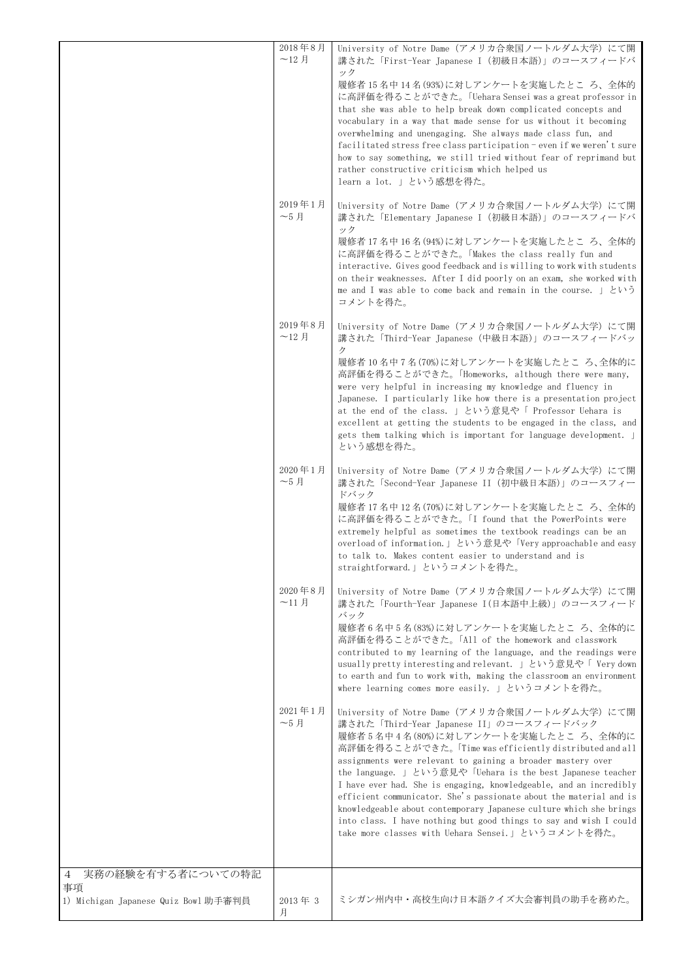|                                      | 2018年8月<br>$-12$ 月            | University of Notre Dame (アメリカ合衆国ノートルダム大学) にて開<br>講された「First-Year Japanese I (初級日本語)」のコースフィードバ<br>ック<br>履修者 15名中14名(93%)に対しアンケートを実施したところ、全体的<br>に高評価を得ることができた。「Uehara Sensei was a great professor in<br>that she was able to help break down complicated concepts and<br>vocabulary in a way that made sense for us without it becoming<br>overwhelming and unengaging. She always made class fun, and                                                                                                                                                                                                                                                            |
|--------------------------------------|-------------------------------|--------------------------------------------------------------------------------------------------------------------------------------------------------------------------------------------------------------------------------------------------------------------------------------------------------------------------------------------------------------------------------------------------------------------------------------------------------------------------------------------------------------------------------------------------------------------------------------------------------------------------------------------------------------------|
|                                      |                               | facilitated stress free class participation - even if we weren't sure<br>how to say something, we still tried without fear of reprimand but<br>rather constructive criticism which helped us<br>learn a lot. 」という感想を得た。                                                                                                                                                                                                                                                                                                                                                                                                                                            |
|                                      | 2019年1月<br>$-5$ 月             | University of Notre Dame (アメリカ合衆国ノートルダム大学) にて開<br>講された「Elementary Japanese I (初級日本語)」のコースフィードバ<br>ック<br>履修者 17 名中 16 名(94%)に対しアンケートを実施したとこ ろ、全体的<br>に高評価を得ることができた。「Makes the class really fun and<br>interactive. Gives good feedback and is willing to work with students<br>on their weaknesses. After I did poorly on an exam, she worked with<br>me and I was able to come back and remain in the course. $\exists \forall v$<br>コメントを得た。                                                                                                                                                                                                                      |
|                                      | 2019年8月<br>$-12$ 月            | University of Notre Dame (アメリカ合衆国ノートルダム大学) にて開<br>講された「Third-Year Japanese (中級日本語)」のコースフィードバッ                                                                                                                                                                                                                                                                                                                                                                                                                                                                                                                                                                      |
|                                      |                               | ク<br>履修者10名中7名(70%)に対しアンケートを実施したところ、全体的に<br>高評価を得ることができた。「Homeworks, although there were many,<br>were very helpful in increasing my knowledge and fluency in<br>Japanese. I particularly like how there is a presentation project<br>at the end of the class. 」という意見や「 Professor Uehara is<br>excellent at getting the students to be engaged in the class, and<br>gets them talking which is important for language development.<br>という感想を得た。                                                                                                                                                                                                                    |
|                                      | 2020年1月<br>$-5$ 月             | University of Notre Dame (アメリカ合衆国ノートルダム大学) にて開<br>講された「Second-Year Japanese II (初中級日本語)」のコースフィー<br>ドバック<br>履修者17名中12名(70%)に対しアンケートを実施したところ、全体的<br>に高評価を得ることができた。「I found that the PowerPoints were<br>extremely helpful as sometimes the textbook readings can be an<br>overload of information.   という意見や「Very approachable and easy<br>to talk to. Makes content easier to understand and is<br>straightforward.」というコメントを得た。                                                                                                                                                                                                                                      |
|                                      | 2020年8月<br>$~11~\mathrm{\AA}$ | University of Notre Dame (アメリカ合衆国ノートルダム大学) にて開<br>講された「Fourth-Year Japanese I(日本語中上級)」のコースフィード<br>バック<br>履修者6名中5名(83%)に対しアンケートを実施したところ、全体的に<br>高評価を得ることができた。「All of the homework and classwork<br>contributed to my learning of the language, and the readings were<br>usually pretty interesting and relevant.   という意見や「 Very down<br>to earth and fun to work with, making the classroom an environment<br>where learning comes more easily. 」というコメントを得た。                                                                                                                                                                                                        |
|                                      | 2021年1月<br>$-5$ 月             | University of Notre Dame (アメリカ合衆国ノートルダム大学) にて開<br>講された「Third-Year Japanese II」のコースフィードバック<br>履修者5名中4名(80%)に対しアンケートを実施したところ、全体的に<br>高評価を得ることができた。「Time was efficiently distributed and all<br>assignments were relevant to gaining a broader mastery over<br>the language. 」という意見や「Uehara is the best Japanese teacher<br>I have ever had. She is engaging, knowledgeable, and an incredibly<br>efficient communicator. She's passionate about the material and is<br>knowledgeable about contemporary Japanese culture which she brings<br>into class. I have nothing but good things to say and wish I could<br>take more classes with Uehara Sensei.」というコメントを得た。 |
| 実務の経験を有する者についての特記<br>4<br>事項         |                               |                                                                                                                                                                                                                                                                                                                                                                                                                                                                                                                                                                                                                                                                    |
| 1) Michigan Japanese Quiz Bowl 助手審判員 | 2013年3<br>月                   | ミシガン州内中・高校生向け日本語クイズ大会審判員の助手を務めた。                                                                                                                                                                                                                                                                                                                                                                                                                                                                                                                                                                                                                                   |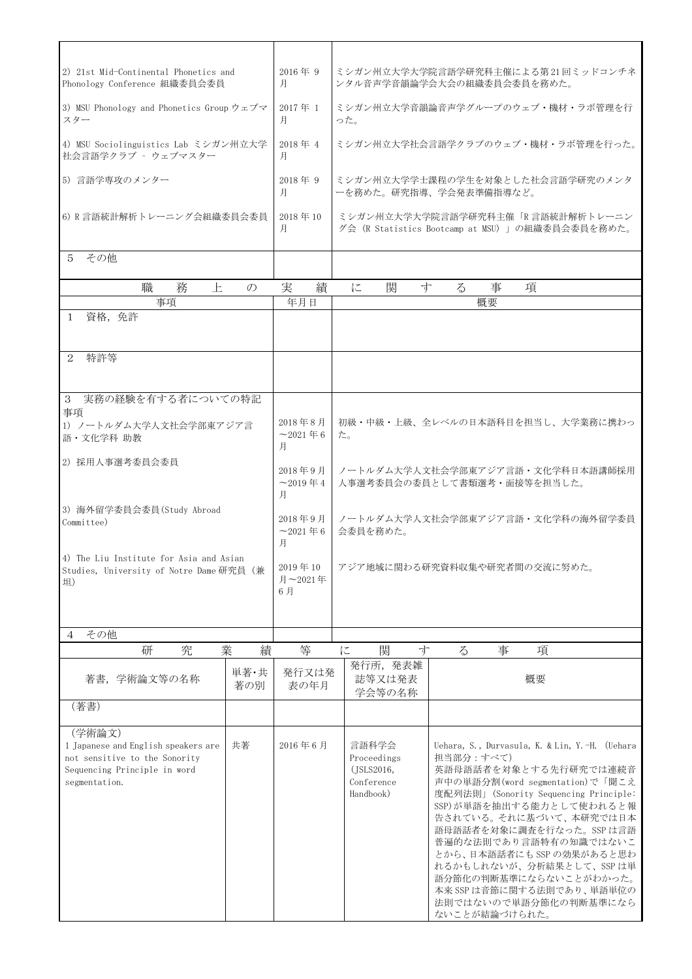| 2) 21st Mid-Continental Phonetics and<br>Phonology Conference 組織委員会委員                                                           |                            | $2016$ 年 9<br>月                  |                                         | ミシガン州立大学大学院言語学研究科主催による第 21 回ミッドコンチネ<br>ンタル音声学音韻論学会大会の組織委員会委員を務めた。                   |  |   |               |   |                                                                                                                                                                                                                                                                                                                                                                                                       |
|---------------------------------------------------------------------------------------------------------------------------------|----------------------------|----------------------------------|-----------------------------------------|-------------------------------------------------------------------------------------|--|---|---------------|---|-------------------------------------------------------------------------------------------------------------------------------------------------------------------------------------------------------------------------------------------------------------------------------------------------------------------------------------------------------------------------------------------------------|
| 3) MSU Phonology and Phonetics Group ウェブマ<br>スター                                                                                | 2017年 1<br>月               |                                  | ミシガン州立大学音韻論音声学グループのウェブ・機材・ラボ管理を行<br>った。 |                                                                                     |  |   |               |   |                                                                                                                                                                                                                                                                                                                                                                                                       |
| 4) MSU Sociolinguistics Lab ミシガン州立大学<br>社会言語学クラブ - ウェブマスター                                                                      |                            | 2018年 4<br>月                     |                                         | ミシガン州立大学社会言語学クラブのウェブ・機材・ラボ管理を行った。                                                   |  |   |               |   |                                                                                                                                                                                                                                                                                                                                                                                                       |
| 5) 言語学専攻のメンター                                                                                                                   |                            | $2018$ 年 9<br>月                  |                                         | ミシガン州立大学学士課程の学生を対象とした社会言語学研究のメンタ<br>ーを務めた。研究指導、学会発表準備指導など。                          |  |   |               |   |                                                                                                                                                                                                                                                                                                                                                                                                       |
| 6) R 言語統計解析トレーニング会組織委員会委員                                                                                                       |                            | $2018 \ncong 10$<br>月            |                                         | ミシガン州立大学大学院言語学研究科主催「R 言語統計解析トレーニン<br>グ会(R Statistics Bootcamp at MSU)」の組織委員会委員を務めた。 |  |   |               |   |                                                                                                                                                                                                                                                                                                                                                                                                       |
| その他<br>5.                                                                                                                       |                            |                                  |                                         |                                                                                     |  |   |               |   |                                                                                                                                                                                                                                                                                                                                                                                                       |
| 務<br>職<br>上                                                                                                                     | $\mathcal{O}$              | 実<br>績                           |                                         | 関<br>寸<br>に                                                                         |  | る | 事             | 項 |                                                                                                                                                                                                                                                                                                                                                                                                       |
| 事項                                                                                                                              |                            | 年月日                              |                                         |                                                                                     |  |   | 概要            |   |                                                                                                                                                                                                                                                                                                                                                                                                       |
| 資格,免許<br>$\mathbf{1}$                                                                                                           |                            |                                  |                                         |                                                                                     |  |   |               |   |                                                                                                                                                                                                                                                                                                                                                                                                       |
| 特許等<br>2                                                                                                                        |                            |                                  |                                         |                                                                                     |  |   |               |   |                                                                                                                                                                                                                                                                                                                                                                                                       |
| 実務の経験を有する者についての特記<br>3                                                                                                          |                            |                                  |                                         |                                                                                     |  |   |               |   |                                                                                                                                                                                                                                                                                                                                                                                                       |
| 事項                                                                                                                              |                            |                                  |                                         |                                                                                     |  |   |               |   |                                                                                                                                                                                                                                                                                                                                                                                                       |
| 1) ノートルダム大学人文社会学部東アジア言<br>語·文化学科 助教                                                                                             | 2018年8月<br>$-2021$ 年6<br>月 |                                  | 初級・中級・上級、全レベルの日本語科目を担当し、大学業務に携わっ<br>た。  |                                                                                     |  |   |               |   |                                                                                                                                                                                                                                                                                                                                                                                                       |
| 2) 採用人事選考委員会委員                                                                                                                  |                            | 2018年9月<br>$~1$ 2019 $~4$        |                                         | ノートルダム大学人文社会学部東アジア言語・文化学科日本語講師採用<br>人事選考委員会の委員として書類選考・面接等を担当した。                     |  |   |               |   |                                                                                                                                                                                                                                                                                                                                                                                                       |
| 3) 海外留学委員会委員 (Study Abroad<br>Committee)                                                                                        |                            | 月<br>2018年9月<br>$~1$ 2021 $~4$ 6 |                                         | ノートルダム大学人文社会学部東アジア言語・文化学科の海外留学委員<br>会委員を務めた。                                        |  |   |               |   |                                                                                                                                                                                                                                                                                                                                                                                                       |
| 4) The Liu Institute for Asia and Asian<br>Studies, University of Notre Dame 研究員 (兼<br>坦)                                       |                            | 月<br>2019年10<br>月~2021年<br>6月    |                                         | アジア地域に関わる研究資料収集や研究者間の交流に努めた。                                                        |  |   |               |   |                                                                                                                                                                                                                                                                                                                                                                                                       |
|                                                                                                                                 |                            |                                  |                                         |                                                                                     |  |   |               |   |                                                                                                                                                                                                                                                                                                                                                                                                       |
| その他<br>4                                                                                                                        |                            |                                  |                                         |                                                                                     |  |   |               |   |                                                                                                                                                                                                                                                                                                                                                                                                       |
| 研<br>究<br>業                                                                                                                     | 績                          | 等                                | に                                       | 関<br>寸                                                                              |  | る | 事             |   | 項                                                                                                                                                                                                                                                                                                                                                                                                     |
| 著書, 学術論文等の名称                                                                                                                    | 単著·共<br>著の別                | 発行又は発<br>表の年月                    |                                         | 発行所, 発表雑<br>誌等又は発表<br>学会等の名称                                                        |  |   |               |   | 概要                                                                                                                                                                                                                                                                                                                                                                                                    |
| (著書)                                                                                                                            |                            |                                  |                                         |                                                                                     |  |   |               |   |                                                                                                                                                                                                                                                                                                                                                                                                       |
| (学術論文)<br>1 Japanese and English speakers are<br>not sensitive to the Sonority<br>Sequencing Principle in word<br>segmentation. | 共著                         | 2016年6月                          |                                         | 言語科学会<br>Proceedings<br>(JSLS2016,<br>Conference<br>Handbook)                       |  |   | 担当部分:すべて)     |   | Uehara, S., Durvasula, K. & Lin, Y.-H. (Uehara<br>英語母語話者を対象とする先行研究では連続音<br>声中の単語分割(word segmentation)で「聞こえ<br>度配列法則」(Sonority Sequencing Principle:<br>SSP)が単語を抽出する能力として使われると報<br>告されている。それに基づいて、本研究では日本<br>語母語話者を対象に調査を行なった。SSP は言語<br>普遍的な法則であり言語特有の知識ではないこ<br>とから、日本語話者にも SSP の効果があると思わ<br>れるかもしれないが、分析結果として、SSPは単<br>語分節化の判断基準にならないことがわかった。<br>本来 SSP は音節に関する法則であり、単語単位の<br>法則ではないので単語分節化の判断基準になら |
|                                                                                                                                 |                            |                                  |                                         |                                                                                     |  |   | ないことが結論づけられた。 |   |                                                                                                                                                                                                                                                                                                                                                                                                       |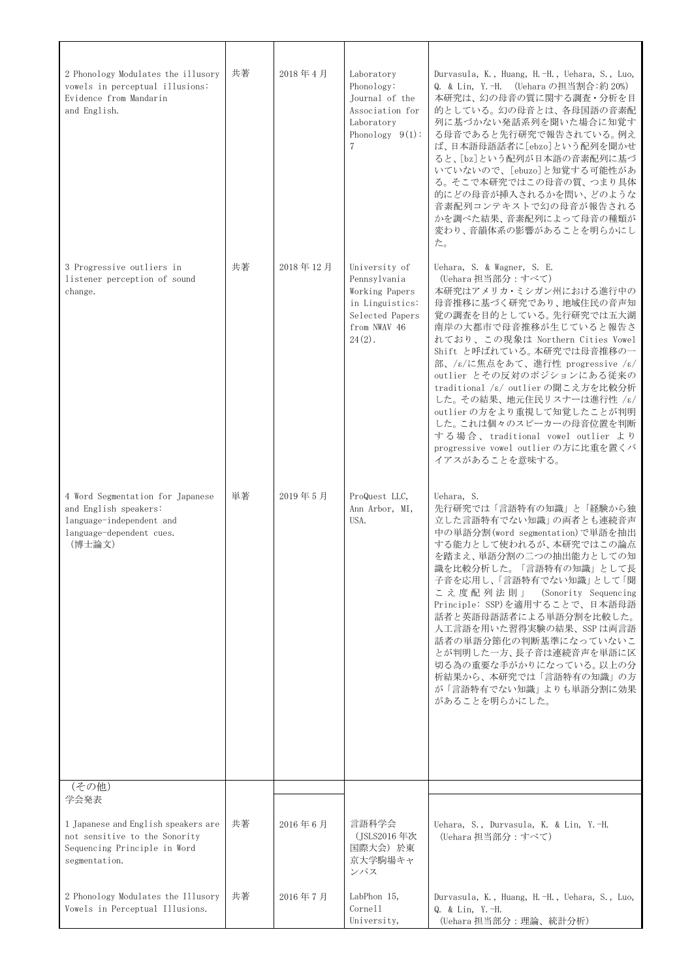| 2 Phonology Modulates the illusory<br>vowels in perceptual illusions:<br>Evidence from Mandarin<br>and English.               | 共著 | 2018年4月  | Laboratory<br>Phonology:<br>Journal of the<br>Association for<br>Laboratory<br>Phonology $9(1)$ :<br>7             | Durvasula, K., Huang, H.-H., Uehara, S., Luo,<br>Q. & Lin, Y. -H. (Uehara の担当割合:約 20%)<br>本研究は、幻の母音の質に関する調査・分析を目<br>的としている。幻の母音とは、各母国語の音素配<br>列に基づかない発話系列を聞いた場合に知覚す<br>る母音であると先行研究で報告されている。例え<br>ば、日本語母語話者に[ebzo]という配列を聞かせ<br>ると、[bz]という配列が日本語の音素配列に基づ<br>いていないので、[ebuzo]と知覚する可能性があ<br>る。そこで本研究ではこの母音の質、つまり具体<br>的にどの母音が挿入されるかを問い、どのような<br>音素配列コンテキストで幻の母音が報告される<br>かを調べた結果、音素配列によって母音の種類が<br>変わり、音韻体系の影響があることを明らかにし<br>た。                                                                                     |
|-------------------------------------------------------------------------------------------------------------------------------|----|----------|--------------------------------------------------------------------------------------------------------------------|----------------------------------------------------------------------------------------------------------------------------------------------------------------------------------------------------------------------------------------------------------------------------------------------------------------------------------------------------------------------------------------------------------------------------------------------------------------------------------------------------------------|
| 3 Progressive outliers in<br>listener perception of sound<br>change.                                                          | 共著 | 2018年12月 | University of<br>Pennsylvania<br>Working Papers<br>in Linguistics:<br>Selected Papers<br>from NWAV 46<br>$24(2)$ . | Uehara, S. & Wagner, S. E.<br>(Uehara 担当部分:すべて)<br>本研究はアメリカ・ミシガン州における進行中の<br>母音推移に基づく研究であり、地域住民の音声知<br>覚の調査を目的としている。先行研究では五大湖<br>南岸の大都市で母音推移が生じていると報告さ<br>れており、この現象は Northern Cities Vowel<br>Shift と呼ばれている。本研究では母音推移の一<br>部、/ε/に焦点をあて、進行性 progressive /ε/<br>outlier とその反対のポジションにある従来の<br>traditional /ε/ outlier の聞こえ方を比較分析<br>した。その結果、地元住民リスナーは進行性/ε/<br>outlier の方をより重視して知覚したことが判明<br>した。これは個々のスピーカーの母音位置を判断<br>する場合、traditional vowel outlier より<br>progressive vowel outlier の方に比重を置くバ<br>イアスがあることを意味する。 |
| 4 Word Segmentation for Japanese<br>and English speakers:<br>language-independent and<br>language-dependent cues.<br>(博士論文)   | 単著 | 2019年5月  | ProQuest LLC,<br>Ann Arbor, MI,<br>USA.                                                                            | Uehara, S.<br>先行研究では「言語特有の知識」と「経験から独<br>立した言語特有でない知識」の両者とも連続音声<br>中の単語分割(word segmentation)で単語を抽出<br>する能力として使われるが、本研究ではこの論点<br>を踏まえ、単語分割の二つの抽出能力としての知<br>識を比較分析した。「言語特有の知識」として長<br>子音を応用し、「言語特有でない知識」として「聞<br>こえ度配列法則」<br>(Sonority Sequencing<br>Principle: SSP)を適用することで、日本語母語<br>話者と英語母語話者による単語分割を比較した。<br>人工言語を用いた習得実験の結果、SSP は両言語<br>話者の単語分節化の判断基準になっていないこ<br>とが判明した一方、長子音は連続音声を単語に区<br>切る為の重要な手がかりになっている。以上の分<br>析結果から、本研究では「言語特有の知識」の方<br>が「言語特有でない知識」よりも単語分割に効果<br>があることを明らかにした。                        |
| (その他)                                                                                                                         |    |          |                                                                                                                    |                                                                                                                                                                                                                                                                                                                                                                                                                                                                                                                |
| 学会発表<br>1 Japanese and English speakers are<br>not sensitive to the Sonority<br>Sequencing Principle in Word<br>segmentation. | 共著 | 2016年6月  | 言語科学会<br>(JSLS2016 年次<br>国際大会) 於東<br>京大学駒場キャ<br>ンパス                                                                | Uehara, S., Durvasula, K. & Lin, Y.-H.<br>(Uehara 担当部分:すべて)                                                                                                                                                                                                                                                                                                                                                                                                                                                    |
| 2 Phonology Modulates the Illusory<br>Vowels in Perceptual Illusions.                                                         | 共著 | 2016年7月  | LabPhon 15,<br>Cornell<br>University,                                                                              | Durvasula, K., Huang, H.-H., Uehara, S., Luo,<br>Q. & Lin, Y.-H.<br>(Uehara 担当部分:理論、統計分析)                                                                                                                                                                                                                                                                                                                                                                                                                      |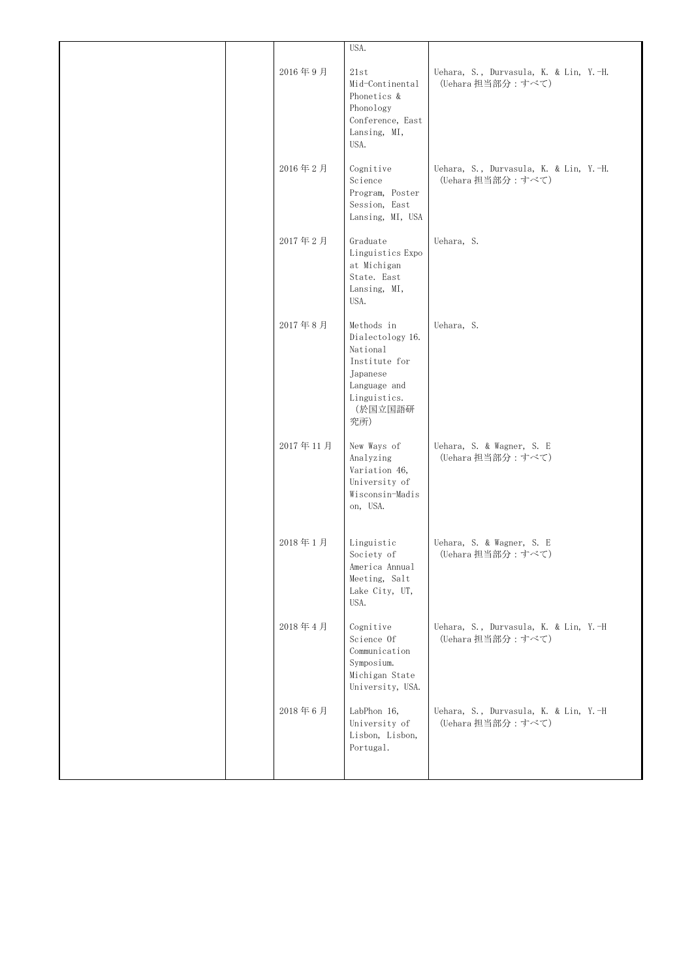|  |          | USA.                                                                                                                      |                                                             |
|--|----------|---------------------------------------------------------------------------------------------------------------------------|-------------------------------------------------------------|
|  | 2016年9月  | 21st<br>Mid-Continental<br>Phonetics &<br>Phonology<br>Conference, East<br>Lansing, MI,<br>USA.                           | Uehara, S., Durvasula, K. & Lin, Y.-H.<br>(Uehara 担当部分:すべて) |
|  | 2016年2月  | Cognitive<br>Science<br>Program, Poster<br>Session, East<br>Lansing, MI, USA                                              | Uehara, S., Durvasula, K. & Lin, Y.-H.<br>(Uehara 担当部分:すべて) |
|  | 2017年2月  | Graduate<br>Linguistics Expo<br>at Michigan<br>State. East<br>Lansing, MI,<br>USA.                                        | Uehara, S.                                                  |
|  | 2017年8月  | Methods in<br>Dialectology 16.<br>National<br>Institute for<br>Japanese<br>Language and<br>Linguistics.<br>(於国立国語研<br>究所) | Uehara, S.                                                  |
|  | 2017年11月 | New Ways of<br>Analyzing<br>Variation 46,<br>University of<br>Wisconsin-Madis<br>on, USA.                                 | Uehara, S. & Wagner, S. E<br>(Uehara 担当部分:すべて)              |
|  | 2018年1月  | Linguistic<br>Society of<br>America Annual<br>Meeting, Salt<br>Lake City, UT,<br>USA.                                     | Uehara, S. & Wagner, S. E<br>(Uehara 担当部分:すべて)              |
|  | 2018年4月  | Cognitive<br>Science Of<br>Communication<br>Symposium.<br>Michigan State<br>University, USA.                              | Uehara, S., Durvasula, K. & Lin, Y.-H<br>(Uehara 担当部分:すべて)  |
|  | 2018年6月  | LabPhon 16,<br>University of<br>Lisbon, Lisbon,<br>Portugal.                                                              | Uehara, S., Durvasula, K. & Lin, Y.-H<br>(Uehara 担当部分:すべて)  |